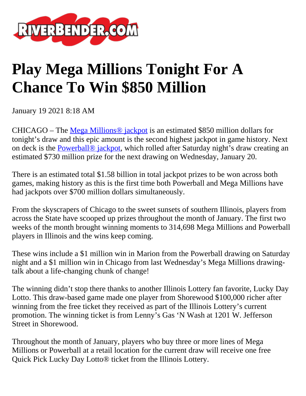

## **Play Mega Millions Tonight For A Chance To Win \$850 Million**

January 19 2021 8:18 AM

CHICAGO – The [Mega Millions® jackpot](http://link.mediaoutreach.meltwater.com/ls/click?upn=vB8chA0EW7Zgv-2Bj-2BE0fotUHgkYsv4xSJatmMN6pDGTlmFfKJLAUrkrAZApzfXuKbOjDaROLVe5ocLde2oEd6Vw-3D-3D9F7F_7H2tvCCsb7ZLVNdm9RNUCVBD61FoptvbEy5QI7O8X-2BX8RTqBJQ-2FQwmAg8C4r2MHPW2-2Ffgamv-2F0NZTHKILVZA4JBE2QphT-2FpWRszPAmCET67eOAM2SOH5GmSBzWMPHAR4-2B-2FvejzG0mh6K6M-2BFf54TRkBkW5hjSXDyuVWde4KeYFGTji9PvoNCCSMDHQ-2FZZprdpjKjNLGbZbOSJtC574gPKhnQyDz-2BpMD2GIkQQweRrZexDYlDp-2FvDTBymMQy7arI554HNRgQVstD-2FxSRnAcSwIOEum9UqcZ-2F-2FLpmPfx6J1zfvjotD6uznrQKxXgsTmlfZbDSLlAyeqJM08qKTjCPA5ND0HyJn9HLySSoGv4lcjkGWPOLfl32-2FbCvWtk0Ryf-2FRG6Bg89tRtayA-2FCcQIHS0Yw-3D-3D) is an estimated \$850 million dollars for tonight's draw and this epic amount is the second highest jackpot in game history. Next on deck is the Powerball<sup>®</sup> jackpot, which rolled after Saturday night's draw creating an estimated \$730 million prize for the next drawing on Wednesday, January 20.

There is an estimated total \$1.58 billion in total jackpot prizes to be won across both games, making history as this is the first time both Powerball and Mega Millions have had jackpots over \$700 million dollars simultaneously.

From the skyscrapers of Chicago to the sweet sunsets of southern Illinois, players from across the State have scooped up prizes throughout the month of January. The first two weeks of the month brought winning moments to 314,698 Mega Millions and Powerball players in Illinois and the wins keep coming.

These wins include a \$1 million win in Marion from the Powerball drawing on Saturday night and a \$1 million win in Chicago from last Wednesday's Mega Millions drawingtalk about a life-changing chunk of change!

The winning didn't stop there thanks to another Illinois Lottery fan favorite, Lucky Day Lotto. This draw-based game made one player from Shorewood \$100,000 richer after winning from the free ticket they received as part of the Illinois Lottery's current promotion. The winning ticket is from Lenny's Gas 'N Wash at 1201 W. Jefferson Street in Shorewood.

Throughout the month of January, players who buy three or more lines of Mega Millions or Powerball at a retail location for the current draw will receive one free Quick Pick Lucky Day Lotto® ticket from the Illinois Lottery.